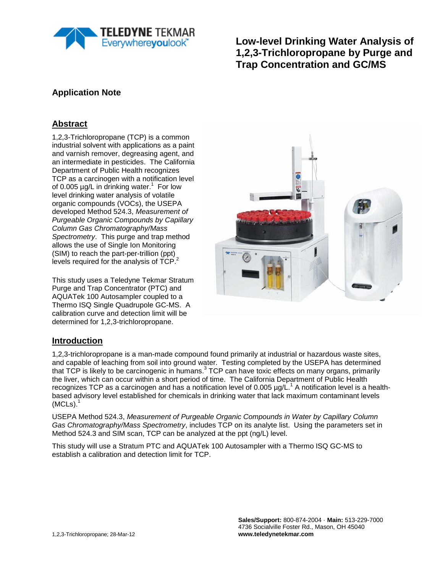

**Low-level Drinking Water Analysis of 1,2,3-Trichloropropane by Purge and Trap Concentration and GC/MS**

# **Application Note**

### **Abstract**

1,2,3-Trichloropropane (TCP) is a common industrial solvent with applications as a paint and varnish remover, degreasing agent, and an intermediate in pesticides. The California Department of Public Health recognizes TCP as a carcinogen with a notification level of 0.005  $\mu$ g/L in drinking water.<sup>1</sup> For low level drinking water analysis of volatile organic compounds (VOCs), the USEPA developed Method 524.3, *Measurement of Purgeable Organic Compounds by Capillary Column Gas Chromatography/Mass Spectrometry*. This purge and trap method allows the use of Single Ion Monitoring (SIM) to reach the part-per-trillion (ppt) levels required for the analysis of  $\overline{ICP}^2$ .

This study uses a Teledyne Tekmar Stratum Purge and Trap Concentrator (PTC) and AQUATek 100 Autosampler coupled to a Thermo ISQ Single Quadrupole GC-MS. A calibration curve and detection limit will be determined for 1,2,3-trichloropropane.



#### **Introduction**

1,2,3-trichloropropane is a man-made compound found primarily at industrial or hazardous waste sites, and capable of leaching from soil into ground water. Testing completed by the USEPA has determined that TCP is likely to be carcinogenic in humans.<sup>3</sup> TCP can have toxic effects on many organs, primarily the liver, which can occur within a short period of time. The California Department of Public Health recognizes TCP as a carcinogen and has a notification level of 0.005  $\mu$ g/L.<sup>1</sup> A notification level is a healthbased advisory level established for chemicals in drinking water that lack maximum contaminant levels  $(MCLs).<sup>1</sup>$ 

USEPA Method 524.3, *Measurement of Purgeable Organic Compounds in Water by Capillary Column Gas Chromatography/Mass Spectrometry*, includes TCP on its analyte list. Using the parameters set in Method 524.3 and SIM scan, TCP can be analyzed at the ppt (ng/L) level.

This study will use a Stratum PTC and AQUATek 100 Autosampler with a Thermo ISQ GC-MS to establish a calibration and detection limit for TCP.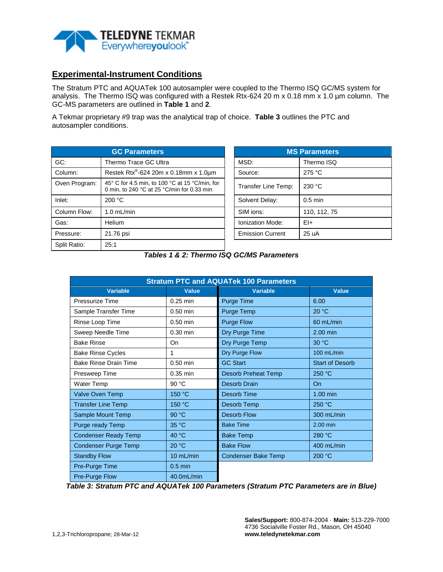

#### **Experimental-Instrument Conditions**

The Stratum PTC and AQUATek 100 autosampler were coupled to the Thermo ISQ GC/MS system for analysis. The Thermo ISQ was configured with a Restek Rtx-624 20 m x 0.18 mm x 1.0 µm column. The GC-MS parameters are outlined in **Table 1** and **2**.

A Tekmar proprietary #9 trap was the analytical trap of choice. **Table 3** outlines the PTC and autosampler conditions.

| <b>GC Parameters</b> |                                                                                              |  | <b>MS Parameters</b>    |              |  |
|----------------------|----------------------------------------------------------------------------------------------|--|-------------------------|--------------|--|
| GC:                  | Thermo Trace GC Ultra                                                                        |  | MSD:                    | Thermo ISQ   |  |
| Column:              | Restek Rtx <sup>®</sup> -624 20m x 0.18mm x 1.0µm                                            |  | Source:                 | 275 °C       |  |
| Oven Program:        | 45° C for 4.5 min, to 100 °C at 15 °C/min, for<br>0 min, to 240 °C at 25 °C/min for 0.33 min |  | Transfer Line Temp:     | 230 °C       |  |
| Inlet:               | 200 °C                                                                                       |  | Solvent Delay:          | $0.5$ min    |  |
| Column Flow:         | $1.0$ mL/min                                                                                 |  | SIM ions:               | 110, 112, 75 |  |
| Gas:                 | Helium                                                                                       |  | Ionization Mode:        | $E+$         |  |
| Pressure:            | 21.76 psi                                                                                    |  | <b>Emission Current</b> | 25 uA        |  |
| Split Ratio:         | 25:1                                                                                         |  |                         |              |  |

| <b>MS Parameters</b>    |              |  |  |  |
|-------------------------|--------------|--|--|--|
| MSD:                    | Thermo ISQ   |  |  |  |
| Source:                 | 275 °C       |  |  |  |
| Transfer Line Temp:     | 230 °C       |  |  |  |
| Solvent Delay:          | $0.5$ min    |  |  |  |
| SIM ions:               | 110, 112, 75 |  |  |  |
| <b>Ionization Mode:</b> | $F1+$        |  |  |  |
| <b>Emission Current</b> | 25 uA        |  |  |  |

*Tables 1 & 2: Thermo ISQ GC/MS Parameters*

| <b>Stratum PTC and AQUATek 100 Parameters</b> |            |                                |                        |  |  |  |
|-----------------------------------------------|------------|--------------------------------|------------------------|--|--|--|
| <b>Variable</b>                               | Value      | Variable                       | Value                  |  |  |  |
| Pressurize Time                               | $0.25$ min | <b>Purge Time</b>              | 6.00                   |  |  |  |
| Sample Transfer Time                          | $0.50$ min | Purge Temp                     | 20 °C                  |  |  |  |
| Rinse Loop Time                               | $0.50$ min | <b>Purge Flow</b>              | 60 mL/min              |  |  |  |
| Sweep Needle Time                             | $0.30$ min | Dry Purge Time                 | $2.00$ min             |  |  |  |
| <b>Bake Rinse</b>                             | On         | Dry Purge Temp                 | 30 °C                  |  |  |  |
| <b>Bake Rinse Cycles</b>                      | 1          | Dry Purge Flow                 | 100 mL/min             |  |  |  |
| <b>Bake Rinse Drain Time</b>                  | $0.50$ min | <b>GC Start</b>                | <b>Start of Desorb</b> |  |  |  |
| Presweep Time                                 | $0.35$ min | <b>Desorb Preheat Temp</b>     | 250 °C                 |  |  |  |
| Water Temp                                    | 90 °C      | Desorb Drain                   | <b>On</b>              |  |  |  |
| Valve Oven Temp                               | 150 °C     | Desorb Time                    | $1.00$ min             |  |  |  |
| <b>Transfer Line Temp</b>                     | 150 °C     | Desorb Temp                    | 250 °C                 |  |  |  |
| Sample Mount Temp                             | 90 °C      | <b>Desorb Flow</b>             | 300 mL/min             |  |  |  |
| Purge ready Temp                              | 35 °C      | <b>Bake Time</b>               | 2.00 min               |  |  |  |
| <b>Condenser Ready Temp</b>                   | 40 °C      | <b>Bake Temp</b>               | 280 °C                 |  |  |  |
| <b>Condenser Purge Temp</b>                   | 20 °C      | <b>Bake Flow</b><br>400 mL/min |                        |  |  |  |
| <b>Standby Flow</b>                           | 10 mL/min  | <b>Condenser Bake Temp</b>     | 200 °C                 |  |  |  |
| Pre-Purge Time                                | $0.5$ min  |                                |                        |  |  |  |
| <b>Pre-Purge Flow</b>                         | 40.0mL/min |                                |                        |  |  |  |

*Table 3: Stratum PTC and AQUATek 100 Parameters (Stratum PTC Parameters are in Blue)*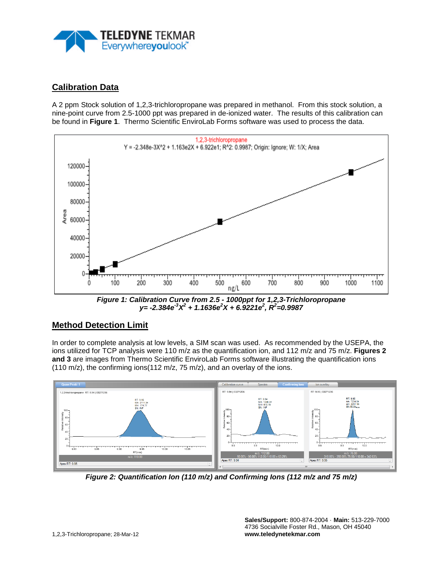

## **Calibration Data**

A 2 ppm Stock solution of 1,2,3-trichloropropane was prepared in methanol. From this stock solution, a nine-point curve from 2.5-1000 ppt was prepared in de-ionized water. The results of this calibration can be found in **Figure 1**. Thermo Scientific EnviroLab Forms software was used to process the data.



*Figure 1: Calibration Curve from 2.5 - 1000ppt for 1,2,3-Trichloropropane y= -2.384e-3 X2 + 1.1636e2 X + 6.9221e2 , R<sup>2</sup> =0.9987*

## **Method Detection Limit**

In order to complete analysis at low levels, a SIM scan was used. As recommended by the USEPA, the ions utilized for TCP analysis were 110 m/z as the quantification ion, and 112 m/z and 75 m/z. **Figures 2 and 3** are images from Thermo Scientific EnviroLab Forms software illustrating the quantification ions (110 m/z), the confirming ions(112 m/z, 75 m/z), and an overlay of the ions.



*Figure 2: Quantification Ion (110 m/z) and Confirming Ions (112 m/z and 75 m/z)*

**Sales/Support:** 800-874-2004 · **Main:** 513-229-7000 4736 Socialville Foster Rd., Mason, OH 45040 **www.teledynetekmar.com**